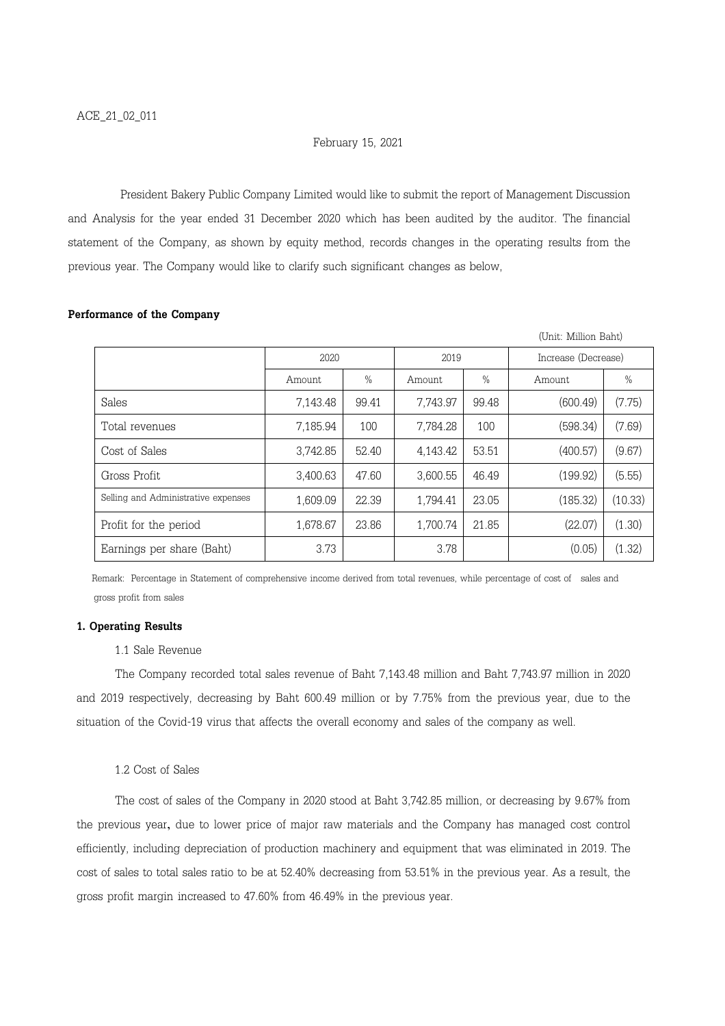# February 15, 2021

President Bakery Public Company Limited would like to submit the report of Management Discussion and Analysis for the year ended 31 December 2020 which has been audited by the auditor. The financial statement of the Company, as shown by equity method, records changes in the operating results from the previous year. The Company would like to clarify such significant changes as below,

|                                     |          |       |          |               | (Unit: Million Baht) |               |
|-------------------------------------|----------|-------|----------|---------------|----------------------|---------------|
|                                     | 2020     |       | 2019     |               | Increase (Decrease)  |               |
|                                     | Amount   | $\%$  | Amount   | $\frac{0}{0}$ | Amount               | $\frac{0}{0}$ |
| Sales                               | 7,143.48 | 99.41 | 7,743.97 | 99.48         | (600.49)             | (7.75)        |
| Total revenues                      | 7,185.94 | 100   | 7,784.28 | 100           | (598.34)             | (7.69)        |
| Cost of Sales                       | 3,742.85 | 52.40 | 4,143.42 | 53.51         | (400.57)             | (9.67)        |
| Gross Profit                        | 3,400.63 | 47.60 | 3,600.55 | 46.49         | (199.92)             | (5.55)        |
| Selling and Administrative expenses | 1,609.09 | 22.39 | 1,794.41 | 23.05         | (185.32)             | (10.33)       |
| Profit for the period               | 1,678.67 | 23.86 | 1,700.74 | 21.85         | (22.07)              | (1.30)        |
| Earnings per share (Baht)           | 3.73     |       | 3.78     |               | (0.05)               | (1.32)        |

### Performance of the Company

 Remark: Percentage in Statement of comprehensive income derived from total revenues, while percentage of cost of sales and gross profit from sales

# 1. Operating Results

## 1.1 Sale Revenue

The Company recorded total sales revenue of Baht 7,143.48 million and Baht 7,743.97 million in 2020 and 2019 respectively, decreasing by Baht 600.49 million or by 7.75% from the previous year, due to the situation of the Covid-19 virus that affects the overall economy and sales of the company as well.

## 1.2 Cost of Sales

The cost of sales of the Company in 2020 stood at Baht 3,742.85 million, or decreasing by 9.67% from the previous year, due to lower price of major raw materials and the Company has managed cost control efficiently, including depreciation of production machinery and equipment that was eliminated in 2019. The cost of sales to total sales ratio to be at 52.40% decreasing from 53.51% in the previous year. As a result, the gross profit margin increased to 47.60% from 46.49% in the previous year.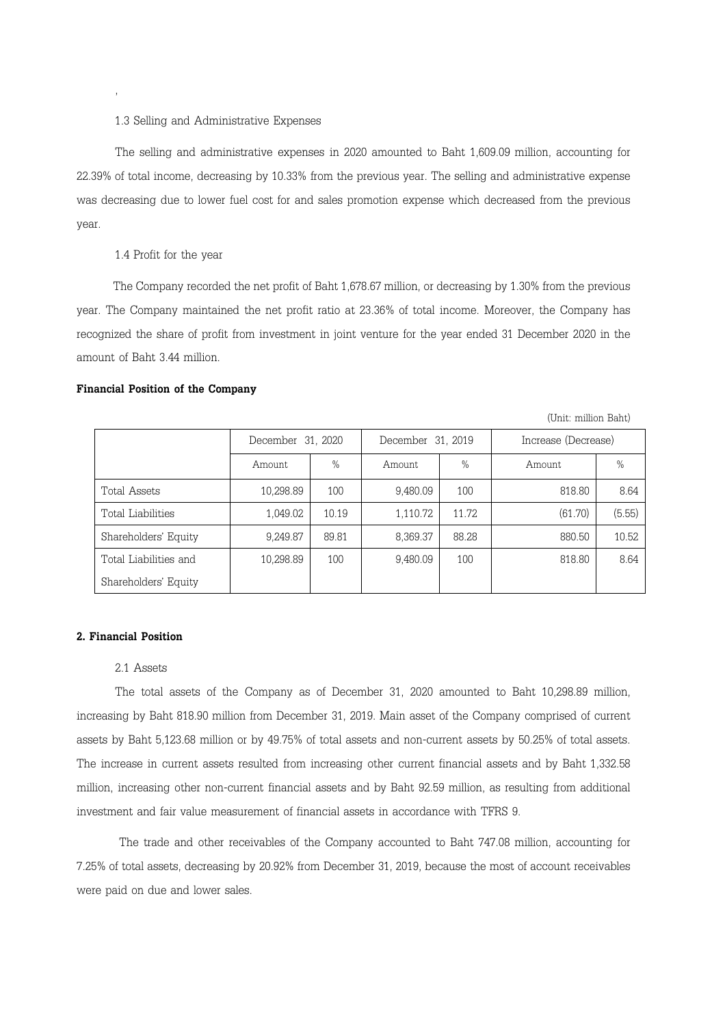#### 1.3 Selling and Administrative Expenses

The selling and administrative expenses in 2020 amounted to Baht 1,609.09 million, accounting for 22.39% of total income, decreasing by 10.33% from the previous year. The selling and administrative expense was decreasing due to lower fuel cost for and sales promotion expense which decreased from the previous year.

# 1.4 Profit for the year

,

 The Company recorded the net profit of Baht 1,678.67 million, or decreasing by 1.30% from the previous year. The Company maintained the net profit ratio at 23.36% of total income. Moreover, the Company has recognized the share of profit from investment in joint venture for the year ended 31 December 2020 in the amount of Baht 3.44 million.

#### Financial Position of the Company

| (Unit: million Baht)  |                   |       |                   |               |                     |        |  |  |  |  |
|-----------------------|-------------------|-------|-------------------|---------------|---------------------|--------|--|--|--|--|
|                       | December 31, 2020 |       | December 31, 2019 |               | Increase (Decrease) |        |  |  |  |  |
|                       | Amount.           | $\%$  | Amount            | $\frac{0}{0}$ | Amount              | $\%$   |  |  |  |  |
| Total Assets          | 10,298.89         | 100   | 9,480.09          | 100           | 818.80              | 8.64   |  |  |  |  |
| Total Liabilities     | 1,049.02          | 10.19 | 1,110.72          | 11.72         | (61.70)             | (5.55) |  |  |  |  |
| Shareholders' Equity  | 9,249.87          | 89.81 | 8,369.37          | 88.28         | 880.50              | 10.52  |  |  |  |  |
| Total Liabilities and | 10,298.89         | 100   | 9,480.09          | 100           | 818.80              | 8.64   |  |  |  |  |
| Shareholders' Equity  |                   |       |                   |               |                     |        |  |  |  |  |

### 2. Financial Position

#### 2.1 Assets

The total assets of the Company as of December 31, 2020 amounted to Baht 10,298.89 million, increasing by Baht 818.90 million from December 31, 2019. Main asset of the Company comprised of current assets by Baht 5,123.68 million or by 49.75% of total assets and non-current assets by 50.25% of total assets. The increase in current assets resulted from increasing other current financial assets and by Baht 1,332.58 million, increasing other non-current financial assets and by Baht 92.59 million, as resulting from additional investment and fair value measurement of financial assets in accordance with TFRS 9.

 The trade and other receivables of the Company accounted to Baht 747.08 million, accounting for 7.25% of total assets, decreasing by 20.92% from December 31, 2019, because the most of account receivables were paid on due and lower sales.